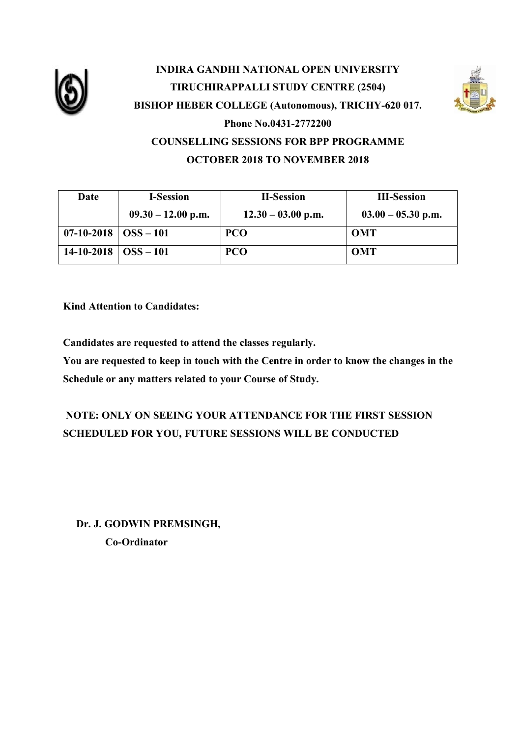

# **INDIRA GANDHI NATIONAL OPEN UNIVERSITY TIRUCHIRAPPALLI STUDY CENTRE (2504) BISHOP HEBER COLLEGE (Autonomous), TRICHY-620 017. Phone No.0431-2772200 COUNSELLING SESSIONS FOR BPP PROGRAMME OCTOBER 2018 TO NOVEMBER 2018**



**Kind Attention to Candidates:**

**Candidates are requested to attend the classes regularly.**

**You are requested to keep in touch with the Centre in order to know the changes in the Schedule or any matters related to your Course of Study.**

# **NOTE: ONLY ON SEEING YOUR ATTENDANCE FOR THE FIRST SESSION SCHEDULED FOR YOU, FUTURE SESSIONS WILL BE CONDUCTED**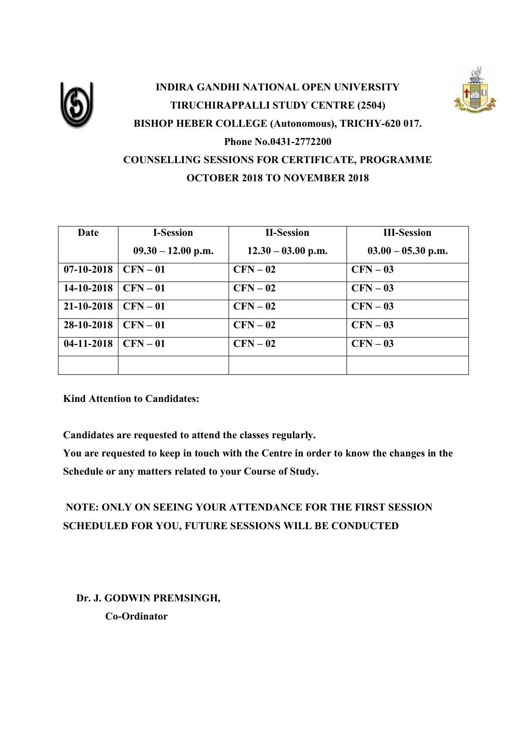

# **INDIRA GANDHI NATIONAL OPEN UNIVERSITY TIRUCHIRAPPALLI STUDY CENTRE (2504) BISHOP HEBER COLLEGE (Autonomous), TRICHY-620 017. Phone No.0431-2772200 COUNSELLING SESSIONS FOR CERTIFICATE, PROGRAMME OCTOBER 2018 TO NOVEMBER 2018**

| Date         | <b>I-Session</b>     | <b>II-Session</b>    | <b>III-Session</b>   |
|--------------|----------------------|----------------------|----------------------|
|              | $09.30 - 12.00$ p.m. | $12.30 - 03.00$ p.m. | $03.00 - 05.30$ p.m. |
| $07-10-2018$ | $CFN-01$             | $CFN-02$             | $CFN-03$             |
| 14-10-2018   | $CFN-01$             | $CFN-02$             | $CFN-03$             |
| 21-10-2018   | $CFN-01$             | $CFN-02$             | $CFN-03$             |
| 28-10-2018   | $CFN-01$             | $CFN-02$             | $CFN-03$             |
| $04-11-2018$ | $CFN-01$             | $CFN-02$             | $CFN-03$             |
|              |                      |                      |                      |

**Kind Attention to Candidates:**

**Candidates are requested to attend the classes regularly.**

**You are requested to keep in touch with the Centre in order to know the changes in the Schedule or any matters related to your Course of Study.**

# **NOTE: ONLY ON SEEING YOUR ATTENDANCE FOR THE FIRST SESSION SCHEDULED FOR YOU, FUTURE SESSIONS WILL BE CONDUCTED**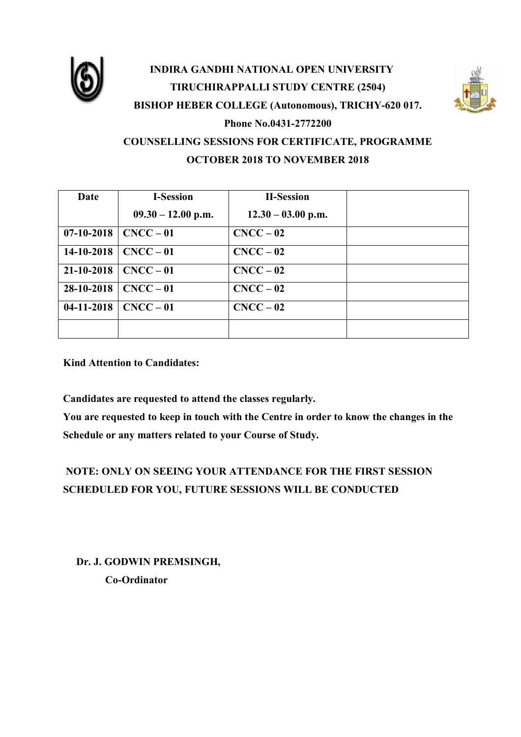

# **INDIRA GANDHI NATIONAL OPEN UNIVERSITY TIRUCHIRAPPALLI STUDY CENTRE (2504) BISHOP HEBER COLLEGE (Autonomous), TRICHY-620 017. Phone No.0431-2772200 COUNSELLING SESSIONS FOR CERTIFICATE, PROGRAMME OCTOBER 2018 TO NOVEMBER 2018**

| Date         | <b>I-Session</b>     | <b>II-Session</b>    |  |
|--------------|----------------------|----------------------|--|
|              | $09.30 - 12.00$ p.m. | $12.30 - 03.00$ p.m. |  |
| $07-10-2018$ | $CNCC - 01$          | $CNCC - 02$          |  |
| 14-10-2018   | $CNCC - 01$          | $CNCC - 02$          |  |
| 21-10-2018   | $CNCC - 01$          | $CNCC - 02$          |  |
| 28-10-2018   | $CNCC - 01$          | $CNCC - 02$          |  |
| $04-11-2018$ | $CNCC - 01$          | $CNCC - 02$          |  |
|              |                      |                      |  |

**Kind Attention to Candidates:**

**Candidates are requested to attend the classes regularly.**

**You are requested to keep in touch with the Centre in order to know the changes in the Schedule or any matters related to your Course of Study.**

# **NOTE: ONLY ON SEEING YOUR ATTENDANCE FOR THE FIRST SESSION SCHEDULED FOR YOU, FUTURE SESSIONS WILL BE CONDUCTED**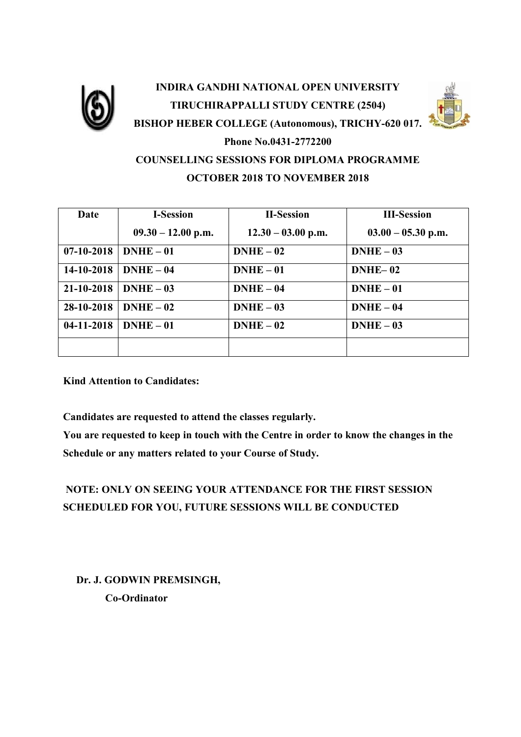

# **INDIRA GANDHI NATIONAL OPEN UNIVERSITY TIRUCHIRAPPALLI STUDY CENTRE (2504) BISHOP HEBER COLLEGE (Autonomous), TRICHY-620 017. Phone No.0431-2772200 COUNSELLING SESSIONS FOR DIPLOMA PROGRAMME OCTOBER 2018 TO NOVEMBER 2018**

| Date         | <b>I-Session</b>     | <b>II-Session</b>    | <b>III-Session</b>   |
|--------------|----------------------|----------------------|----------------------|
|              | $09.30 - 12.00$ p.m. | $12.30 - 03.00$ p.m. | $03.00 - 05.30$ p.m. |
| $07-10-2018$ | $DNHE-01$            | $DNHE-02$            | $DNHE - 03$          |
| 14-10-2018   | $DNHE - 04$          | $DNHE - 01$          | DNHE-02              |
| 21-10-2018   | $DNHE-03$            | $DNHE - 04$          | $DNHE - 01$          |
| 28-10-2018   | $DNHE-02$            | $DNHE-03$            | $DNHE-04$            |
| $04-11-2018$ | $DNHE-01$            | $DNHE-02$            | $DNHE-03$            |
|              |                      |                      |                      |

**Kind Attention to Candidates:**

**Candidates are requested to attend the classes regularly.**

**You are requested to keep in touch with the Centre in order to know the changes in the Schedule or any matters related to your Course of Study.**

# **NOTE: ONLY ON SEEING YOUR ATTENDANCE FOR THE FIRST SESSION SCHEDULED FOR YOU, FUTURE SESSIONS WILL BE CONDUCTED**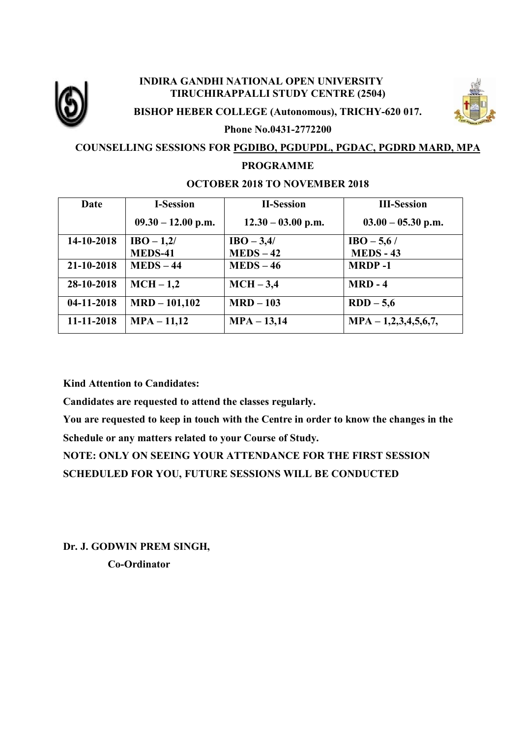

### **INDIRA GANDHI NATIONAL OPEN UNIVERSITY TIRUCHIRAPPALLI STUDY CENTRE (2504)**



**BISHOP HEBER COLLEGE (Autonomous), TRICHY-620 017.**

**Phone No.0431-2772200**

## **COUNSELLING SESSIONS FOR PGDIBO, PGDUPDL, PGDAC, PGDRD MARD, MPA**

### **PROGRAMME**

### **OCTOBER 2018 TO NOVEMBER 2018**

| Date       | <b>I-Session</b>     | <b>II-Session</b>    | <b>III-Session</b>     |
|------------|----------------------|----------------------|------------------------|
|            | $09.30 - 12.00$ p.m. | $12.30 - 03.00$ p.m. | $03.00 - 05.30$ p.m.   |
| 14-10-2018 | $IBO - 1,2/$         | $IBO - 3,4/$         | $IBO - 5,6/$           |
|            | <b>MEDS-41</b>       | $MEDS - 42$          | <b>MEDS - 43</b>       |
| 21-10-2018 | $MEDS - 44$          | $MEDS-46$            | <b>MRDP-1</b>          |
| 28-10-2018 | $MCH - 1,2$          | $MCH - 3,4$          | $MRD - 4$              |
| 04-11-2018 | $MRD - 101, 102$     | $MRD-103$            | $RDD-5,6$              |
| 11-11-2018 | $MPA - 11,12$        | $MPA - 13,14$        | $MPA - 1,2,3,4,5,6,7,$ |

**Kind Attention to Candidates:**

**Candidates are requested to attend the classes regularly.**

**You are requested to keep in touch with the Centre in order to know the changes in the Schedule or any matters related to your Course of Study.**

**NOTE: ONLY ON SEEING YOUR ATTENDANCE FOR THE FIRST SESSION SCHEDULED FOR YOU, FUTURE SESSIONS WILL BE CONDUCTED**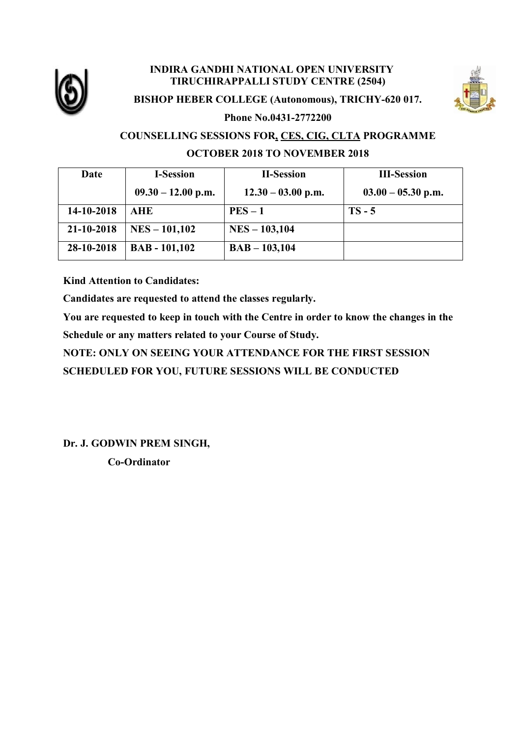

#### **INDIRA GANDHI NATIONAL OPEN UNIVERSITY TIRUCHIRAPPALLI STUDY CENTRE (2504)**



## **BISHOP HEBER COLLEGE (Autonomous), TRICHY-620 017.**

**Phone No.0431-2772200**

## **COUNSELLING SESSIONS FOR, CES, CIG, CLTA PROGRAMME OCTOBER 2018 TO NOVEMBER 2018**

| Date       | <b>I-Session</b>     | <b>II-Session</b>    | <b>III-Session</b>   |
|------------|----------------------|----------------------|----------------------|
|            | $09.30 - 12.00$ p.m. | $12.30 - 03.00$ p.m. | $03.00 - 05.30$ p.m. |
| 14-10-2018 | <b>AHE</b>           | $PES-1$              | $TS - 5$             |
| 21-10-2018 | $NES - 101,102$      | $NES - 103,104$      |                      |
| 28-10-2018 | <b>BAB</b> - 101,102 | $BAB - 103,104$      |                      |

**Kind Attention to Candidates:**

**Candidates are requested to attend the classes regularly.**

**You are requested to keep in touch with the Centre in order to know the changes in the Schedule or any matters related to your Course of Study.**

**NOTE: ONLY ON SEEING YOUR ATTENDANCE FOR THE FIRST SESSION SCHEDULED FOR YOU, FUTURE SESSIONS WILL BE CONDUCTED**

**Dr. J. GODWIN PREM SINGH,** 

 **Co-Ordinator**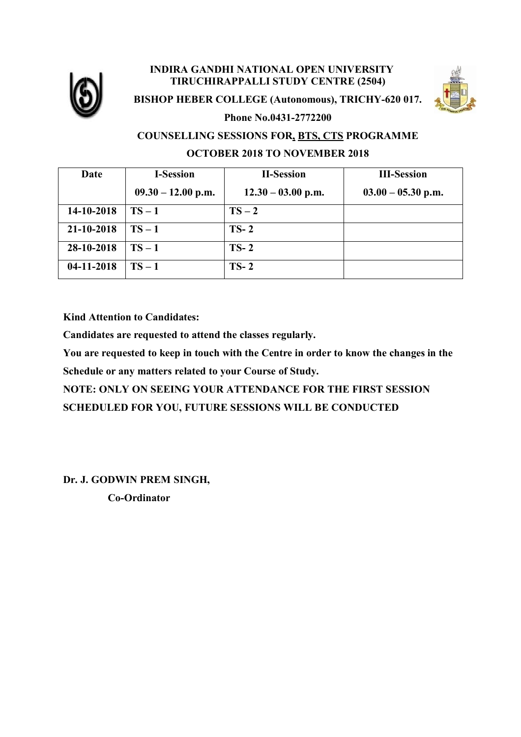

### **INDIRA GANDHI NATIONAL OPEN UNIVERSITY TIRUCHIRAPPALLI STUDY CENTRE (2504)**





**Phone No.0431-2772200**

## **COUNSELLING SESSIONS FOR, BTS, CTS PROGRAMME OCTOBER 2018 TO NOVEMBER 2018**

| Date         | <b>I-Session</b>     | <b>II-Session</b>    | <b>III-Session</b>   |
|--------------|----------------------|----------------------|----------------------|
|              | $09.30 - 12.00$ p.m. | $12.30 - 03.00$ p.m. | $03.00 - 05.30$ p.m. |
| 14-10-2018   | $TS-1$               | $TS-2$               |                      |
| 21-10-2018   | $TS-1$               | $TS-2$               |                      |
| 28-10-2018   | $TS-1$               | $TS-2$               |                      |
| $04-11-2018$ | $TS-1$               | $TS-2$               |                      |

**Kind Attention to Candidates:**

**Candidates are requested to attend the classes regularly.**

**You are requested to keep in touch with the Centre in order to know the changes in the** 

**Schedule or any matters related to your Course of Study.**

**NOTE: ONLY ON SEEING YOUR ATTENDANCE FOR THE FIRST SESSION SCHEDULED FOR YOU, FUTURE SESSIONS WILL BE CONDUCTED**

**Dr. J. GODWIN PREM SINGH,** 

 **Co-Ordinator**